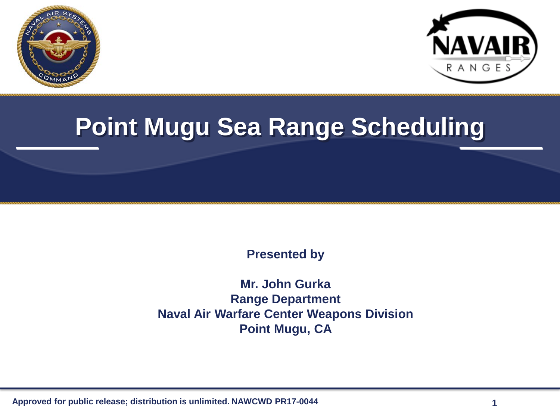



#### **Point Mugu Sea Range Scheduling**

**Presented by**

**Mr. John Gurka Range Department Naval Air Warfare Center Weapons Division Point Mugu, CA**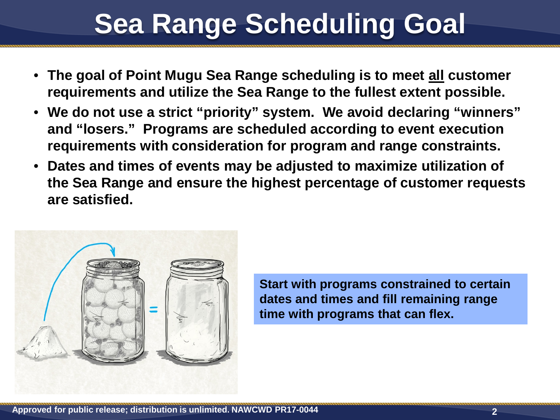## **Sea Range Scheduling Goal**

- **The goal of Point Mugu Sea Range scheduling is to meet all customer requirements and utilize the Sea Range to the fullest extent possible.**
- **We do not use a strict "priority" system. We avoid declaring "winners" and "losers." Programs are scheduled according to event execution requirements with consideration for program and range constraints.**
- **Dates and times of events may be adjusted to maximize utilization of the Sea Range and ensure the highest percentage of customer requests are satisfied.**



**Start with programs constrained to certain dates and times and fill remaining range time with programs that can flex.**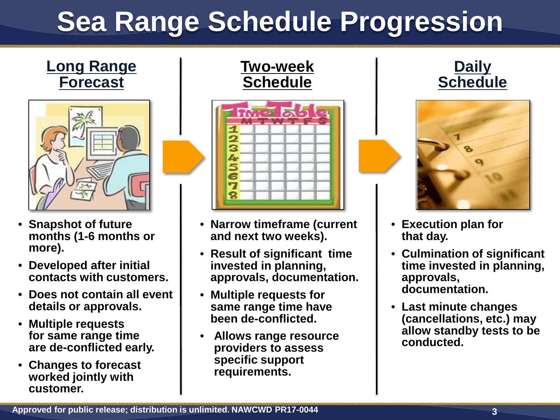# **Sea Range Schedule Progression**

#### **Long Range Forecast**



- **Snapshot of future months (1-6 months or more).**
- **Developed after initial contacts with customers.**
- **Does not contain all event details or approvals.**
- **Multiple requests for same range time are de-conflicted early.**
- **Changes to forecast worked jointly with customer.**





- **Narrow timeframe (current and next two weeks).**
- **Result of significant time invested in planning, approvals, documentation.**
- **Multiple requests for same range time have been de-conflicted.**
- **Allows range resource providers to assess specific support requirements.**





- **Execution plan for that day.**
- **Culmination of significant time invested in planning, approvals, documentation.**
- **Last minute changes (cancellations, etc.) may allow standby tests to be conducted.**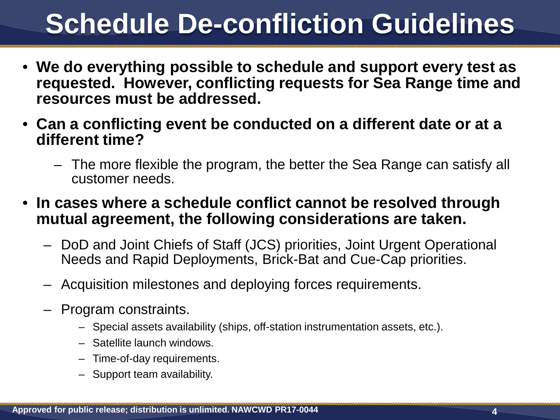## **Schedule De-confliction Guidelines**

- **We do everything possible to schedule and support every test as requested. However, conflicting requests for Sea Range time and resources must be addressed.**
- **Can a conflicting event be conducted on a different date or at a different time?**
	- The more flexible the program, the better the Sea Range can satisfy all customer needs.
- **In cases where a schedule conflict cannot be resolved through mutual agreement, the following considerations are taken.**
	- DoD and Joint Chiefs of Staff (JCS) priorities, Joint Urgent Operational Needs and Rapid Deployments, Brick-Bat and Cue-Cap priorities.
	- Acquisition milestones and deploying forces requirements.
	- Program constraints.
		- Special assets availability (ships, off-station instrumentation assets, etc.).
		- Satellite launch windows.
		- Time-of-day requirements.
		- Support team availability.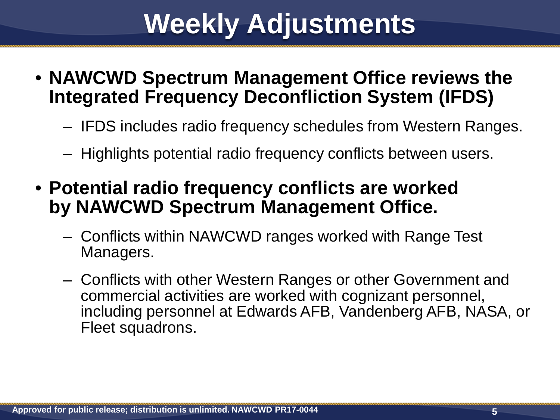### **Weekly Adjustments**

- **NAWCWD Spectrum Management Office reviews the Integrated Frequency Deconfliction System (IFDS)**
	- IFDS includes radio frequency schedules from Western Ranges.
	- Highlights potential radio frequency conflicts between users.
- **Potential radio frequency conflicts are worked by NAWCWD Spectrum Management Office.**
	- Conflicts within NAWCWD ranges worked with Range Test Managers.
	- Conflicts with other Western Ranges or other Government and commercial activities are worked with cognizant personnel, including personnel at Edwards AFB, Vandenberg AFB, NASA, or Fleet squadrons.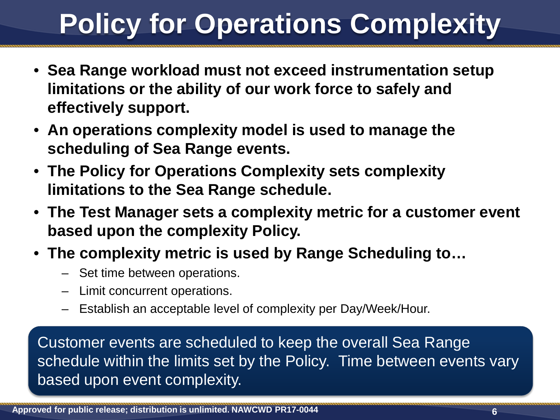# **Policy for Operations Complexity**

- **Sea Range workload must not exceed instrumentation setup limitations or the ability of our work force to safely and effectively support.**
- **An operations complexity model is used to manage the scheduling of Sea Range events.**
- **The Policy for Operations Complexity sets complexity limitations to the Sea Range schedule.**
- **The Test Manager sets a complexity metric for a customer event based upon the complexity Policy.**
- **The complexity metric is used by Range Scheduling to…** 
	- Set time between operations.
	- Limit concurrent operations.
	- Establish an acceptable level of complexity per Day/Week/Hour.

Customer events are scheduled to keep the overall Sea Range schedule within the limits set by the Policy. Time between events vary based upon event complexity.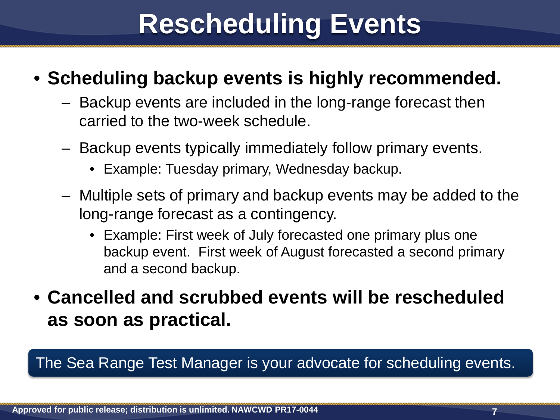### **Rescheduling Events**

#### • **Scheduling backup events is highly recommended.**

- Backup events are included in the long-range forecast then carried to the two-week schedule.
- Backup events typically immediately follow primary events.
	- Example: Tuesday primary, Wednesday backup.
- Multiple sets of primary and backup events may be added to the long-range forecast as a contingency.
	- Example: First week of July forecasted one primary plus one backup event. First week of August forecasted a second primary and a second backup.
- **Cancelled and scrubbed events will be rescheduled as soon as practical.**

The Sea Range Test Manager is your advocate for scheduling events.